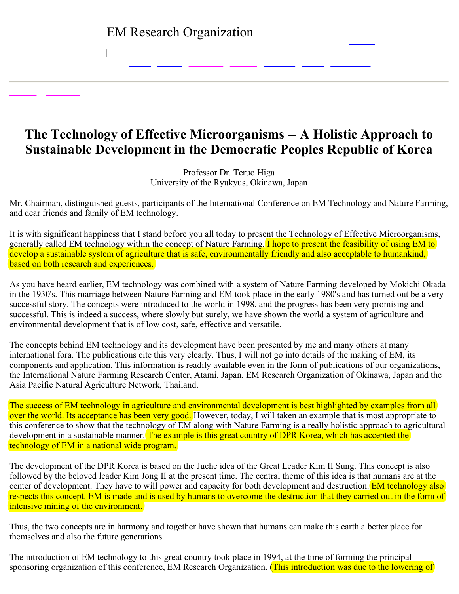$\mathbf{I}$ 

## **The Technology of Effective Microorganisms A Holistic Approach to Sustainable Development in the Democratic Peoples Republic of Korea**

Professor Dr. Teruo Higa University of the Ryukyus, Okinawa, Japan

Mr. Chairman, distinguished guests, participants of the International Conference on EM Technology and Nature Farming, and dear friends and family of EM technology.

It is with significant happiness that I stand before you all today to present the Technology of Effective Microorganisms, generally called EM technology within the concept of Nature Farming. I hope to present the feasibility of using EM to develop a sustainable system of agriculture that is safe, environmentally friendly and also acceptable to humankind, based on both research and experiences.

As you have heard earlier, EM technology was combined with a system of Nature Farming developed by Mokichi Okada in the 1930's. This marriage between Nature Farming and EM took place in the early 1980's and has turned out be a very successful story. The concepts were introduced to the world in 1998, and the progress has been very promising and successful. This is indeed a success, where slowly but surely, we have shown the world a system of agriculture and environmental development that is of low cost, safe, effective and versatile.

The concepts behind EM technology and its development have been presented by me and many others at many international fora. The publications cite this very clearly. Thus, I will not go into details of the making of EM, its components and application. This information is readily available even in the form of publications of our organizations, the International Nature Farming Research Center, Atami, Japan, EM Research Organization of Okinawa, Japan and the Asia Pacific Natural Agriculture Network, Thailand.

The success of EM technology in agriculture and environmental development is best highlighted by examples from all over the world. Its acceptance has been very good. However, today, I will taken an example that is most appropriate to this conference to show that the technology of EM along with Nature Farming is a really holistic approach to agricultural development in a sustainable manner. The example is this great country of DPR Korea, which has accepted the technology of EM in a national wide program.

The development of the DPR Korea is based on the Juche idea of the Great Leader Kim II Sung. This concept is also followed by the beloved leader Kim Jong II at the present time. The central theme of this idea is that humans are at the center of development. They have to will power and capacity for both development and destruction. EM technology also respects this concept. EM is made and is used by humans to overcome the destruction that they carried out in the form of intensive mining of the environment.

Thus, the two concepts are in harmony and together have shown that humans can make this earth a better place for themselves and also the future generations.

The introduction of EM technology to this great country took place in 1994, at the time of forming the principal sponsoring organization of this conference, EM Research Organization. (This introduction was due to the lowering of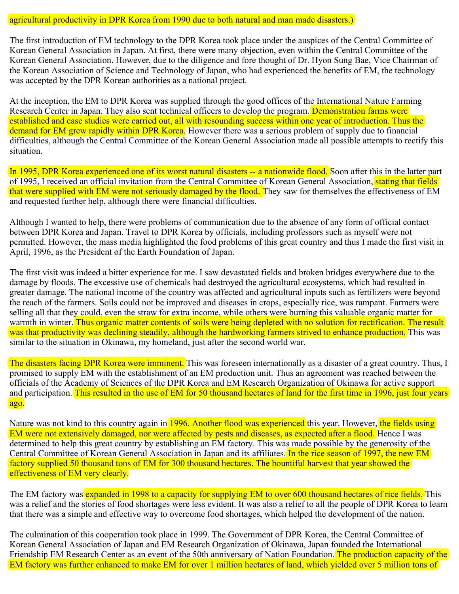## agricultural productivity in DPR Korea from 1990 due to both natural and man made disasters.)

The first introduction of EM technology to the DPR Korea took place under the auspices of the Central Committee of Korean General Association in Japan. At first, there were many objection, even within the Central Committee of the Korean General Association. However, due to the diligence and fore thought of Dr. Hyon Sung Bae, Vice Chairman of the Korean Association of Science and Technology of Japan, who had experienced the benefits of EM, the technology was accepted by the DPR Korean authorities as a national project.

At the inception, the EM to DPR Korea was supplied through the good offices of the International Nature Farming Research Center in Japan. They also sent technical officers to develop the program. Demonstration farms were established and case studies were carried out, all with resounding success within one year of introduction. Thus the demand for EM grew rapidly within DPR Korea. However there was a serious problem of supply due to financial difficulties, although the Central Committee of the Korean General Association made all possible attempts to rectify this situation.

In 1995, DPR Korea experienced one of its worst natural disasters -- a nationwide flood. Soon after this in the latter part of 1995, I received an official invitation from the Central Committee of Korean General Association, stating that fields that were supplied with EM were not seriously damaged by the flood. They saw for themselves the effectiveness of EM and requested further help, although there were financial difficulties.

Although I wanted to help, there were problems of communication due to the absence of any form of official contact between DPR Korea and Japan. Travel to DPR Korea by officials, including professors such as myself were not permitted. However, the mass media highlighted the food problems of this great country and thus I made the first visit in April, 1996, as the President of the Earth Foundation of Japan.

The first visit was indeed a bitter experience for me. I saw devastated fields and broken bridges everywhere due to the damage by floods. The excessive use of chemicals had destroyed the agricultural ecosystems, which had resulted in greater damage. The national income of the country was affected and agricultural inputs such as fertilizers were beyond the reach of the farmers. Soils could not be improved and diseases in crops, especially rice, was rampant. Farmers were selling all that they could, even the straw for extra income, while others were burning this valuable organic matter for warmth in winter. Thus organic matter contents of soils were being depleted with no solution for rectification. The result was that productivity was declining steadily, although the hardworking farmers strived to enhance production. This was similar to the situation in Okinawa, my homeland, just after the second world war.

The disasters facing DPR Korea were imminent. This was foreseen internationally as a disaster of a great country. Thus, I promised to supply EM with the establishment of an EM production unit. Thus an agreement was reached between the officials of the Academy of Sciences of the DPR Korea and EM Research Organization of Okinawa for active support and participation. This resulted in the use of EM for 50 thousand hectares of land for the first time in 1996, just four years ago.

Nature was not kind to this country again in 1996. Another flood was experienced this year. However, the fields using EM were not extensively damaged, nor were affected by pests and diseases, as expected after a flood. Hence I was determined to help this great country by establishing an EM factory. This was made possible by the generosity of the Central Committee of Korean General Association in Japan and its affiliates. In the rice season of 1997, the new EM factory supplied 50 thousand tons of EM for 300 thousand hectares. The bountiful harvest that year showed the effectiveness of EM very clearly.

The EM factory was expanded in 1998 to a capacity for supplying EM to over 600 thousand hectares of rice fields. This was a relief and the stories of food shortages were less evident. It was also a relief to all the people of DPR Korea to learn that there was a simple and effective way to overcome food shortages, which helped the development of the nation.

The culmination of this cooperation took place in 1999. The Government of DPR Korea, the Central Committee of Korean General Association of Japan and EM Research Organization of Okinawa, Japan founded the International Friendship EM Research Center as an event of the 50th anniversary of Nation Foundation. The production capacity of the EM factory was further enhanced to make EM for over 1 million hectares of land, which yielded over 5 million tons of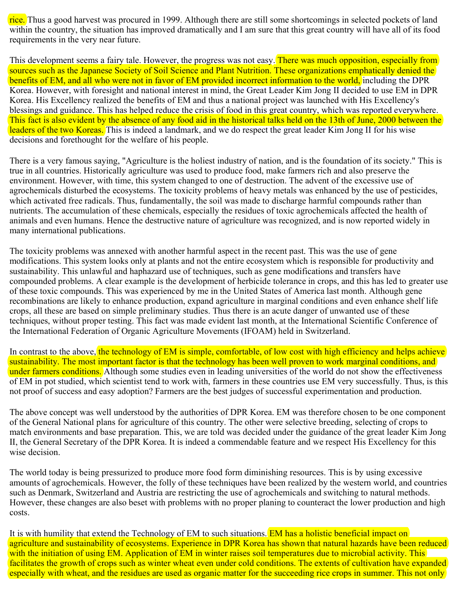rice. Thus a good harvest was procured in 1999. Although there are still some shortcomings in selected pockets of land within the country, the situation has improved dramatically and I am sure that this great country will have all of its food requirements in the very near future.

This development seems a fairy tale. However, the progress was not easy. There was much opposition, especially from sources such as the Japanese Society of Soil Science and Plant Nutrition. These organizations emphatically denied the benefits of EM, and all who were not in favor of EM provided incorrect information to the world, including the DPR Korea. However, with foresight and national interest in mind, the Great Leader Kim Jong II decided to use EM in DPR Korea. His Excellency realized the benefits of EM and thus a national project was launched with His Excellency's blessings and guidance. This has helped reduce the crisis of food in this great country, which was reported everywhere. This fact is also evident by the absence of any food aid in the historical talks held on the 13th of June, 2000 between the leaders of the two Koreas. This is indeed a landmark, and we do respect the great leader Kim Jong II for his wise decisions and forethought for the welfare of his people.

There is a very famous saying, "Agriculture is the holiest industry of nation, and is the foundation of its society." This is true in all countries. Historically agriculture was used to produce food, make farmers rich and also preserve the environment. However, with time, this system changed to one of destruction. The advent of the excessive use of agrochemicals disturbed the ecosystems. The toxicity problems of heavy metals was enhanced by the use of pesticides, which activated free radicals. Thus, fundamentally, the soil was made to discharge harmful compounds rather than nutrients. The accumulation of these chemicals, especially the residues of toxic agrochemicals affected the health of animals and even humans. Hence the destructive nature of agriculture was recognized, and is now reported widely in many international publications.

The toxicity problems was annexed with another harmful aspect in the recent past. This was the use of gene modifications. This system looks only at plants and not the entire ecosystem which is responsible for productivity and sustainability. This unlawful and haphazard use of techniques, such as gene modifications and transfers have compounded problems. A clear example is the development of herbicide tolerance in crops, and this has led to greater use of these toxic compounds. This was experienced by me in the United States of America last month. Although gene recombinations are likely to enhance production, expand agriculture in marginal conditions and even enhance shelf life crops, all these are based on simple preliminary studies. Thus there is an acute danger of unwanted use of these techniques, without proper testing. This fact was made evident last month, at the International Scientific Conference of the International Federation of Organic Agriculture Movements (IFOAM) held in Switzerland.

In contrast to the above, the technology of EM is simple, comfortable, of low cost with high efficiency and helps achieve sustainability. The most important factor is that the technology has been well proven to work marginal conditions, and under farmers conditions. Although some studies even in leading universities of the world do not show the effectiveness of EM in pot studied, which scientist tend to work with, farmers in these countries use EM very successfully. Thus, is this not proof of success and easy adoption? Farmers are the best judges of successful experimentation and production.

The above concept was well understood by the authorities of DPR Korea. EM was therefore chosen to be one component of the General National plans for agriculture of this country. The other were selective breeding, selecting of crops to match environments and base preparation. This, we are told was decided under the guidance of the great leader Kim Jong II, the General Secretary of the DPR Korea. It is indeed a commendable feature and we respect His Excellency for this wise decision.

The world today is being pressurized to produce more food form diminishing resources. This is by using excessive amounts of agrochemicals. However, the folly of these techniques have been realized by the western world, and countries such as Denmark, Switzerland and Austria are restricting the use of agrochemicals and switching to natural methods. However, these changes are also beset with problems with no proper planing to counteract the lower production and high costs.

It is with humility that extend the Technology of EM to such situations. EM has a holistic beneficial impact on agriculture and sustainability of ecosystems. Experience in DPR Korea has shown that natural hazards have been reduced with the initiation of using EM. Application of EM in winter raises soil temperatures due to microbial activity. This facilitates the growth of crops such as winter wheat even under cold conditions. The extents of cultivation have expanded especially with wheat, and the residues are used as organic matter for the succeeding rice crops in summer. This not only